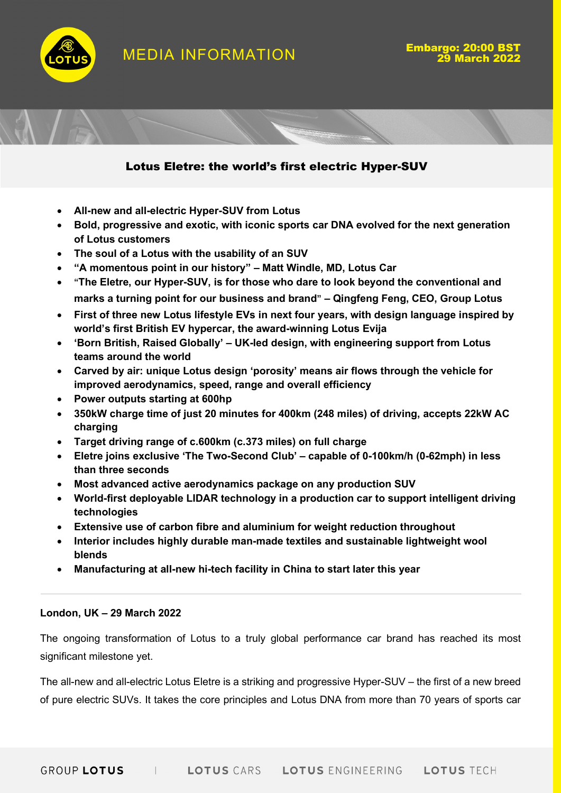

MEDIA INFORMATION **Empargo: 20:00 B** 





# Lotus Eletre: the world's first electric Hyper-SUV

- All-new and all-electric Hyper-SUV from Lotus
- Bold, progressive and exotic, with iconic sports car DNA evolved for the next generation of Lotus customers
- The soul of a Lotus with the usability of an SUV
- "A momentous point in our history" Matt Windle, MD, Lotus Car
- "The Eletre, our Hyper-SUV, is for those who dare to look beyond the conventional and marks a turning point for our business and brand" – Qingfeng Feng, CEO, Group Lotus
- First of three new Lotus lifestyle EVs in next four years, with design language inspired by world's first British EV hypercar, the award-winning Lotus Evija
- 'Born British, Raised Globally' UK-led design, with engineering support from Lotus teams around the world
- Carved by air: unique Lotus design 'porosity' means air flows through the vehicle for improved aerodynamics, speed, range and overall efficiency
- Power outputs starting at 600hp
- 350kW charge time of just 20 minutes for 400km (248 miles) of driving, accepts 22kW AC charging
- Target driving range of c.600km (c.373 miles) on full charge
- Eletre joins exclusive 'The Two-Second Club' capable of 0-100km/h (0-62mph) in less than three seconds
- Most advanced active aerodynamics package on any production SUV
- World-first deployable LIDAR technology in a production car to support intelligent driving technologies
- Extensive use of carbon fibre and aluminium for weight reduction throughout
- Interior includes highly durable man-made textiles and sustainable lightweight wool blends
- Manufacturing at all-new hi-tech facility in China to start later this year

#### London, UK – 29 March 2022

The ongoing transformation of Lotus to a truly global performance car brand has reached its most significant milestone yet.

The all-new and all-electric Lotus Eletre is a striking and progressive Hyper-SUV – the first of a new breed of pure electric SUVs. It takes the core principles and Lotus DNA from more than 70 years of sports car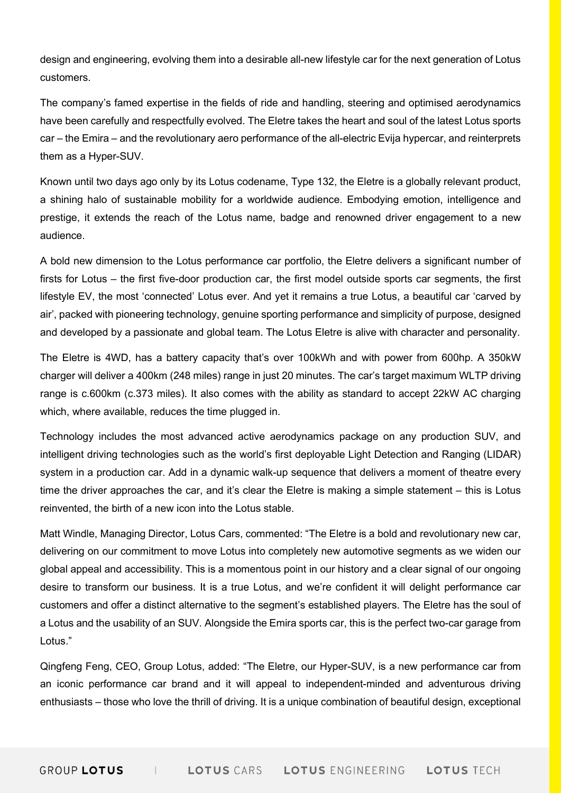design and engineering, evolving them into a desirable all-new lifestyle car for the next generation of Lotus customers.

The company's famed expertise in the fields of ride and handling, steering and optimised aerodynamics have been carefully and respectfully evolved. The Eletre takes the heart and soul of the latest Lotus sports car – the Emira – and the revolutionary aero performance of the all-electric Evija hypercar, and reinterprets them as a Hyper-SUV.

Known until two days ago only by its Lotus codename, Type 132, the Eletre is a globally relevant product, a shining halo of sustainable mobility for a worldwide audience. Embodying emotion, intelligence and prestige, it extends the reach of the Lotus name, badge and renowned driver engagement to a new audience.

A bold new dimension to the Lotus performance car portfolio, the Eletre delivers a significant number of firsts for Lotus – the first five-door production car, the first model outside sports car segments, the first lifestyle EV, the most 'connected' Lotus ever. And yet it remains a true Lotus, a beautiful car 'carved by air', packed with pioneering technology, genuine sporting performance and simplicity of purpose, designed and developed by a passionate and global team. The Lotus Eletre is alive with character and personality.

The Eletre is 4WD, has a battery capacity that's over 100kWh and with power from 600hp. A 350kW charger will deliver a 400km (248 miles) range in just 20 minutes. The car's target maximum WLTP driving range is c.600km (c.373 miles). It also comes with the ability as standard to accept 22kW AC charging which, where available, reduces the time plugged in.

Technology includes the most advanced active aerodynamics package on any production SUV, and intelligent driving technologies such as the world's first deployable Light Detection and Ranging (LIDAR) system in a production car. Add in a dynamic walk-up sequence that delivers a moment of theatre every time the driver approaches the car, and it's clear the Eletre is making a simple statement – this is Lotus reinvented, the birth of a new icon into the Lotus stable.

Matt Windle, Managing Director, Lotus Cars, commented: "The Eletre is a bold and revolutionary new car, delivering on our commitment to move Lotus into completely new automotive segments as we widen our global appeal and accessibility. This is a momentous point in our history and a clear signal of our ongoing desire to transform our business. It is a true Lotus, and we're confident it will delight performance car customers and offer a distinct alternative to the segment's established players. The Eletre has the soul of a Lotus and the usability of an SUV. Alongside the Emira sports car, this is the perfect two-car garage from Lotus."

Qingfeng Feng, CEO, Group Lotus, added: "The Eletre, our Hyper-SUV, is a new performance car from an iconic performance car brand and it will appeal to independent-minded and adventurous driving enthusiasts – those who love the thrill of driving. It is a unique combination of beautiful design, exceptional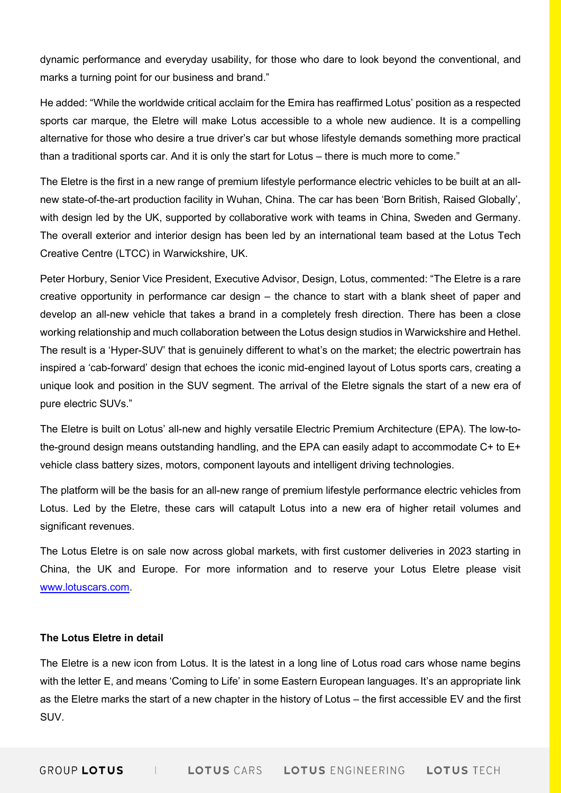dynamic performance and everyday usability, for those who dare to look beyond the conventional, and marks a turning point for our business and brand."

He added: "While the worldwide critical acclaim for the Emira has reaffirmed Lotus' position as a respected sports car marque, the Eletre will make Lotus accessible to a whole new audience. It is a compelling alternative for those who desire a true driver's car but whose lifestyle demands something more practical than a traditional sports car. And it is only the start for Lotus – there is much more to come."

The Eletre is the first in a new range of premium lifestyle performance electric vehicles to be built at an allnew state-of-the-art production facility in Wuhan, China. The car has been 'Born British, Raised Globally', with design led by the UK, supported by collaborative work with teams in China, Sweden and Germany. The overall exterior and interior design has been led by an international team based at the Lotus Tech Creative Centre (LTCC) in Warwickshire, UK.

Peter Horbury, Senior Vice President, Executive Advisor, Design, Lotus, commented: "The Eletre is a rare creative opportunity in performance car design – the chance to start with a blank sheet of paper and develop an all-new vehicle that takes a brand in a completely fresh direction. There has been a close working relationship and much collaboration between the Lotus design studios in Warwickshire and Hethel. The result is a 'Hyper-SUV' that is genuinely different to what's on the market; the electric powertrain has inspired a 'cab-forward' design that echoes the iconic mid-engined layout of Lotus sports cars, creating a unique look and position in the SUV segment. The arrival of the Eletre signals the start of a new era of pure electric SUVs."

The Eletre is built on Lotus' all-new and highly versatile Electric Premium Architecture (EPA). The low-tothe-ground design means outstanding handling, and the EPA can easily adapt to accommodate C+ to E+ vehicle class battery sizes, motors, component layouts and intelligent driving technologies.

The platform will be the basis for an all-new range of premium lifestyle performance electric vehicles from Lotus. Led by the Eletre, these cars will catapult Lotus into a new era of higher retail volumes and significant revenues.

The Lotus Eletre is on sale now across global markets, with first customer deliveries in 2023 starting in China, the UK and Europe. For more information and to reserve your Lotus Eletre please visit www.lotuscars.com.

## The Lotus Eletre in detail

The Eletre is a new icon from Lotus. It is the latest in a long line of Lotus road cars whose name begins with the letter E, and means 'Coming to Life' in some Eastern European languages. It's an appropriate link as the Eletre marks the start of a new chapter in the history of Lotus – the first accessible EV and the first SUV.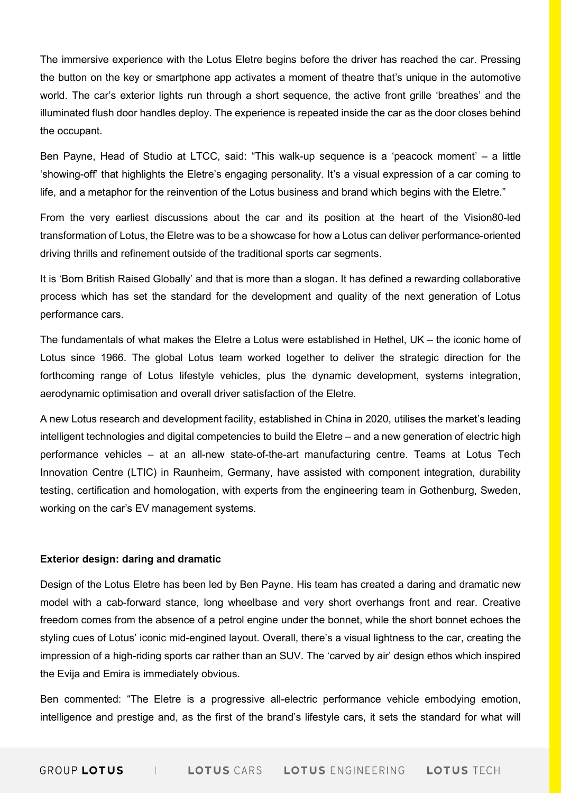The immersive experience with the Lotus Eletre begins before the driver has reached the car. Pressing the button on the key or smartphone app activates a moment of theatre that's unique in the automotive world. The car's exterior lights run through a short sequence, the active front grille 'breathes' and the illuminated flush door handles deploy. The experience is repeated inside the car as the door closes behind the occupant.

Ben Payne, Head of Studio at LTCC, said: "This walk-up sequence is a 'peacock moment' – a little 'showing-off' that highlights the Eletre's engaging personality. It's a visual expression of a car coming to life, and a metaphor for the reinvention of the Lotus business and brand which begins with the Eletre."

From the very earliest discussions about the car and its position at the heart of the Vision80-led transformation of Lotus, the Eletre was to be a showcase for how a Lotus can deliver performance-oriented driving thrills and refinement outside of the traditional sports car segments.

It is 'Born British Raised Globally' and that is more than a slogan. It has defined a rewarding collaborative process which has set the standard for the development and quality of the next generation of Lotus performance cars.

The fundamentals of what makes the Eletre a Lotus were established in Hethel, UK – the iconic home of Lotus since 1966. The global Lotus team worked together to deliver the strategic direction for the forthcoming range of Lotus lifestyle vehicles, plus the dynamic development, systems integration, aerodynamic optimisation and overall driver satisfaction of the Eletre.

A new Lotus research and development facility, established in China in 2020, utilises the market's leading intelligent technologies and digital competencies to build the Eletre – and a new generation of electric high performance vehicles – at an all-new state-of-the-art manufacturing centre. Teams at Lotus Tech Innovation Centre (LTIC) in Raunheim, Germany, have assisted with component integration, durability testing, certification and homologation, with experts from the engineering team in Gothenburg, Sweden, working on the car's EV management systems.

#### Exterior design: daring and dramatic

Design of the Lotus Eletre has been led by Ben Payne. His team has created a daring and dramatic new model with a cab-forward stance, long wheelbase and very short overhangs front and rear. Creative freedom comes from the absence of a petrol engine under the bonnet, while the short bonnet echoes the styling cues of Lotus' iconic mid-engined layout. Overall, there's a visual lightness to the car, creating the impression of a high-riding sports car rather than an SUV. The 'carved by air' design ethos which inspired the Evija and Emira is immediately obvious.

Ben commented: "The Eletre is a progressive all-electric performance vehicle embodying emotion, intelligence and prestige and, as the first of the brand's lifestyle cars, it sets the standard for what will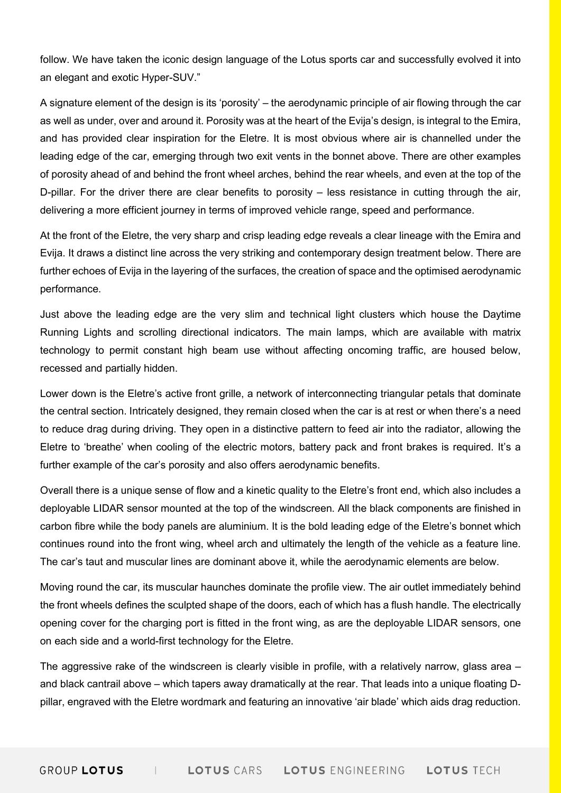follow. We have taken the iconic design language of the Lotus sports car and successfully evolved it into an elegant and exotic Hyper-SUV."

A signature element of the design is its 'porosity' – the aerodynamic principle of air flowing through the car as well as under, over and around it. Porosity was at the heart of the Evija's design, is integral to the Emira, and has provided clear inspiration for the Eletre. It is most obvious where air is channelled under the leading edge of the car, emerging through two exit vents in the bonnet above. There are other examples of porosity ahead of and behind the front wheel arches, behind the rear wheels, and even at the top of the D-pillar. For the driver there are clear benefits to porosity – less resistance in cutting through the air, delivering a more efficient journey in terms of improved vehicle range, speed and performance.

At the front of the Eletre, the very sharp and crisp leading edge reveals a clear lineage with the Emira and Evija. It draws a distinct line across the very striking and contemporary design treatment below. There are further echoes of Evija in the layering of the surfaces, the creation of space and the optimised aerodynamic performance.

Just above the leading edge are the very slim and technical light clusters which house the Daytime Running Lights and scrolling directional indicators. The main lamps, which are available with matrix technology to permit constant high beam use without affecting oncoming traffic, are housed below, recessed and partially hidden.

Lower down is the Eletre's active front grille, a network of interconnecting triangular petals that dominate the central section. Intricately designed, they remain closed when the car is at rest or when there's a need to reduce drag during driving. They open in a distinctive pattern to feed air into the radiator, allowing the Eletre to 'breathe' when cooling of the electric motors, battery pack and front brakes is required. It's a further example of the car's porosity and also offers aerodynamic benefits.

Overall there is a unique sense of flow and a kinetic quality to the Eletre's front end, which also includes a deployable LIDAR sensor mounted at the top of the windscreen. All the black components are finished in carbon fibre while the body panels are aluminium. It is the bold leading edge of the Eletre's bonnet which continues round into the front wing, wheel arch and ultimately the length of the vehicle as a feature line. The car's taut and muscular lines are dominant above it, while the aerodynamic elements are below.

Moving round the car, its muscular haunches dominate the profile view. The air outlet immediately behind the front wheels defines the sculpted shape of the doors, each of which has a flush handle. The electrically opening cover for the charging port is fitted in the front wing, as are the deployable LIDAR sensors, one on each side and a world-first technology for the Eletre.

The aggressive rake of the windscreen is clearly visible in profile, with a relatively narrow, glass area – and black cantrail above – which tapers away dramatically at the rear. That leads into a unique floating Dpillar, engraved with the Eletre wordmark and featuring an innovative 'air blade' which aids drag reduction.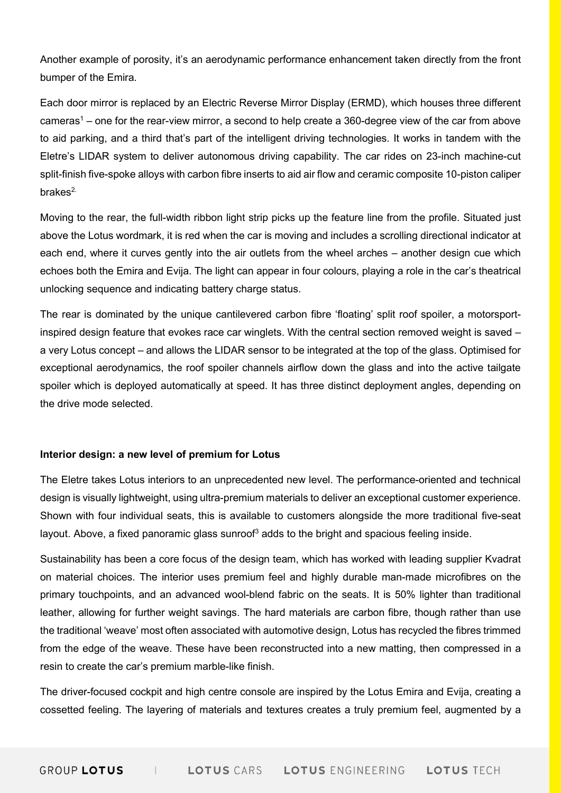Another example of porosity, it's an aerodynamic performance enhancement taken directly from the front bumper of the Emira.

Each door mirror is replaced by an Electric Reverse Mirror Display (ERMD), which houses three different cameras<sup>1</sup> – one for the rear-view mirror, a second to help create a 360-degree view of the car from above to aid parking, and a third that's part of the intelligent driving technologies. It works in tandem with the Eletre's LIDAR system to deliver autonomous driving capability. The car rides on 23-inch machine-cut split-finish five-spoke alloys with carbon fibre inserts to aid air flow and ceramic composite 10-piston caliper  $brake<sub>s</sub><sup>2</sup>$ 

Moving to the rear, the full-width ribbon light strip picks up the feature line from the profile. Situated just above the Lotus wordmark, it is red when the car is moving and includes a scrolling directional indicator at each end, where it curves gently into the air outlets from the wheel arches – another design cue which echoes both the Emira and Evija. The light can appear in four colours, playing a role in the car's theatrical unlocking sequence and indicating battery charge status.

The rear is dominated by the unique cantilevered carbon fibre 'floating' split roof spoiler, a motorsportinspired design feature that evokes race car winglets. With the central section removed weight is saved – a very Lotus concept – and allows the LIDAR sensor to be integrated at the top of the glass. Optimised for exceptional aerodynamics, the roof spoiler channels airflow down the glass and into the active tailgate spoiler which is deployed automatically at speed. It has three distinct deployment angles, depending on the drive mode selected.

#### Interior design: a new level of premium for Lotus

The Eletre takes Lotus interiors to an unprecedented new level. The performance-oriented and technical design is visually lightweight, using ultra-premium materials to deliver an exceptional customer experience. Shown with four individual seats, this is available to customers alongside the more traditional five-seat layout. Above, a fixed panoramic glass sunroof $^3$  adds to the bright and spacious feeling inside.

Sustainability has been a core focus of the design team, which has worked with leading supplier Kvadrat on material choices. The interior uses premium feel and highly durable man-made microfibres on the primary touchpoints, and an advanced wool-blend fabric on the seats. It is 50% lighter than traditional leather, allowing for further weight savings. The hard materials are carbon fibre, though rather than use the traditional 'weave' most often associated with automotive design, Lotus has recycled the fibres trimmed from the edge of the weave. These have been reconstructed into a new matting, then compressed in a resin to create the car's premium marble-like finish.

The driver-focused cockpit and high centre console are inspired by the Lotus Emira and Evija, creating a cossetted feeling. The layering of materials and textures creates a truly premium feel, augmented by a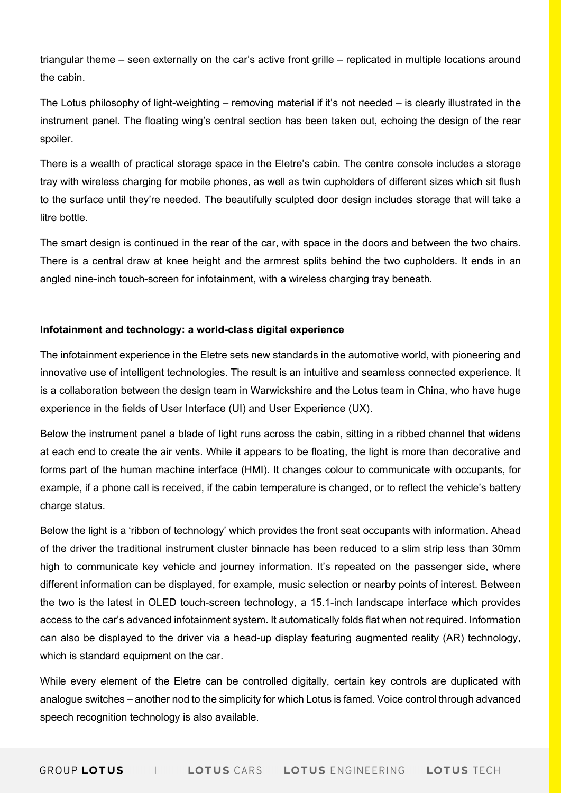triangular theme – seen externally on the car's active front grille – replicated in multiple locations around the cabin.

The Lotus philosophy of light-weighting – removing material if it's not needed – is clearly illustrated in the instrument panel. The floating wing's central section has been taken out, echoing the design of the rear spoiler.

There is a wealth of practical storage space in the Eletre's cabin. The centre console includes a storage tray with wireless charging for mobile phones, as well as twin cupholders of different sizes which sit flush to the surface until they're needed. The beautifully sculpted door design includes storage that will take a litre bottle.

The smart design is continued in the rear of the car, with space in the doors and between the two chairs. There is a central draw at knee height and the armrest splits behind the two cupholders. It ends in an angled nine-inch touch-screen for infotainment, with a wireless charging tray beneath.

# Infotainment and technology: a world-class digital experience

The infotainment experience in the Eletre sets new standards in the automotive world, with pioneering and innovative use of intelligent technologies. The result is an intuitive and seamless connected experience. It is a collaboration between the design team in Warwickshire and the Lotus team in China, who have huge experience in the fields of User Interface (UI) and User Experience (UX).

Below the instrument panel a blade of light runs across the cabin, sitting in a ribbed channel that widens at each end to create the air vents. While it appears to be floating, the light is more than decorative and forms part of the human machine interface (HMI). It changes colour to communicate with occupants, for example, if a phone call is received, if the cabin temperature is changed, or to reflect the vehicle's battery charge status.

Below the light is a 'ribbon of technology' which provides the front seat occupants with information. Ahead of the driver the traditional instrument cluster binnacle has been reduced to a slim strip less than 30mm high to communicate key vehicle and journey information. It's repeated on the passenger side, where different information can be displayed, for example, music selection or nearby points of interest. Between the two is the latest in OLED touch-screen technology, a 15.1-inch landscape interface which provides access to the car's advanced infotainment system. It automatically folds flat when not required. Information can also be displayed to the driver via a head-up display featuring augmented reality (AR) technology, which is standard equipment on the car.

While every element of the Eletre can be controlled digitally, certain key controls are duplicated with analogue switches – another nod to the simplicity for which Lotus is famed. Voice control through advanced speech recognition technology is also available.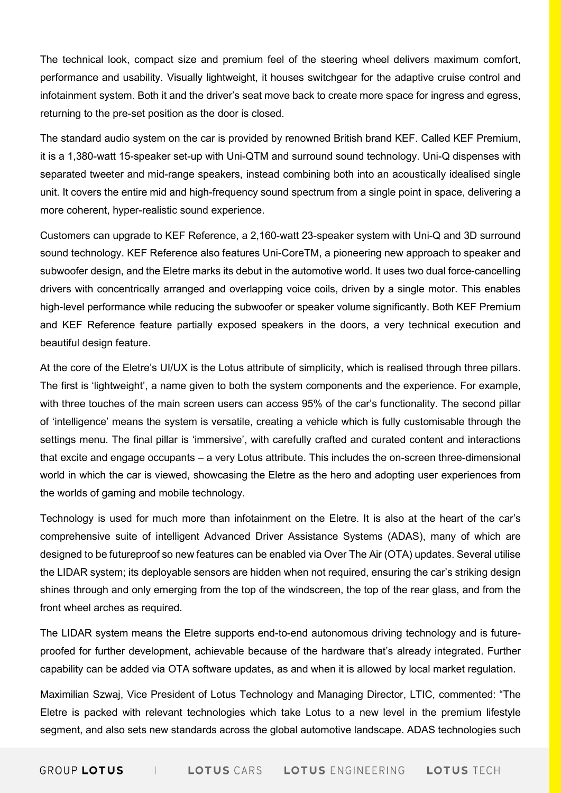The technical look, compact size and premium feel of the steering wheel delivers maximum comfort, performance and usability. Visually lightweight, it houses switchgear for the adaptive cruise control and infotainment system. Both it and the driver's seat move back to create more space for ingress and egress, returning to the pre-set position as the door is closed.

The standard audio system on the car is provided by renowned British brand KEF. Called KEF Premium, it is a 1,380-watt 15-speaker set-up with Uni-QTM and surround sound technology. Uni-Q dispenses with separated tweeter and mid-range speakers, instead combining both into an acoustically idealised single unit. It covers the entire mid and high-frequency sound spectrum from a single point in space, delivering a more coherent, hyper-realistic sound experience.

Customers can upgrade to KEF Reference, a 2,160-watt 23-speaker system with Uni-Q and 3D surround sound technology. KEF Reference also features Uni-CoreTM, a pioneering new approach to speaker and subwoofer design, and the Eletre marks its debut in the automotive world. It uses two dual force-cancelling drivers with concentrically arranged and overlapping voice coils, driven by a single motor. This enables high-level performance while reducing the subwoofer or speaker volume significantly. Both KEF Premium and KEF Reference feature partially exposed speakers in the doors, a very technical execution and beautiful design feature.

At the core of the Eletre's UI/UX is the Lotus attribute of simplicity, which is realised through three pillars. The first is 'lightweight', a name given to both the system components and the experience. For example, with three touches of the main screen users can access 95% of the car's functionality. The second pillar of 'intelligence' means the system is versatile, creating a vehicle which is fully customisable through the settings menu. The final pillar is 'immersive', with carefully crafted and curated content and interactions that excite and engage occupants – a very Lotus attribute. This includes the on-screen three-dimensional world in which the car is viewed, showcasing the Eletre as the hero and adopting user experiences from the worlds of gaming and mobile technology.

Technology is used for much more than infotainment on the Eletre. It is also at the heart of the car's comprehensive suite of intelligent Advanced Driver Assistance Systems (ADAS), many of which are designed to be futureproof so new features can be enabled via Over The Air (OTA) updates. Several utilise the LIDAR system; its deployable sensors are hidden when not required, ensuring the car's striking design shines through and only emerging from the top of the windscreen, the top of the rear glass, and from the front wheel arches as required.

The LIDAR system means the Eletre supports end-to-end autonomous driving technology and is futureproofed for further development, achievable because of the hardware that's already integrated. Further capability can be added via OTA software updates, as and when it is allowed by local market regulation.

Maximilian Szwaj, Vice President of Lotus Technology and Managing Director, LTIC, commented: "The Eletre is packed with relevant technologies which take Lotus to a new level in the premium lifestyle segment, and also sets new standards across the global automotive landscape. ADAS technologies such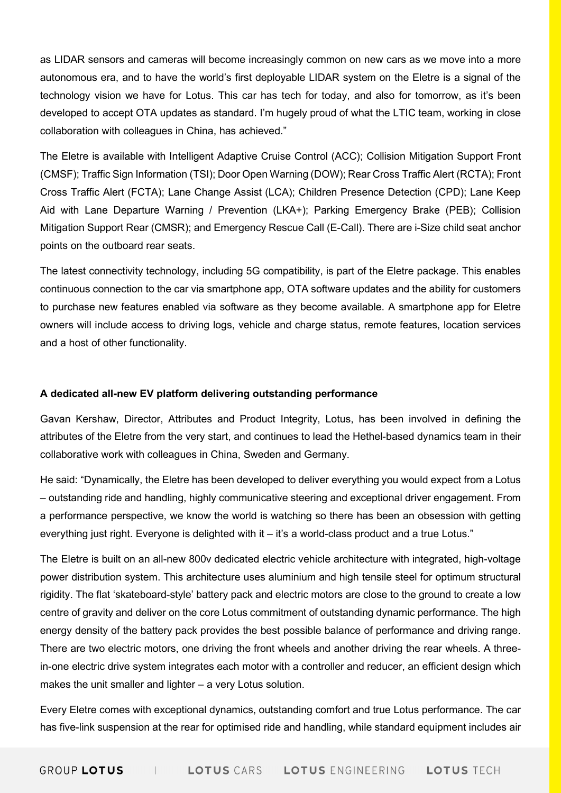as LIDAR sensors and cameras will become increasingly common on new cars as we move into a more autonomous era, and to have the world's first deployable LIDAR system on the Eletre is a signal of the technology vision we have for Lotus. This car has tech for today, and also for tomorrow, as it's been developed to accept OTA updates as standard. I'm hugely proud of what the LTIC team, working in close collaboration with colleagues in China, has achieved."

The Eletre is available with Intelligent Adaptive Cruise Control (ACC); Collision Mitigation Support Front (CMSF); Traffic Sign Information (TSI); Door Open Warning (DOW); Rear Cross Traffic Alert (RCTA); Front Cross Traffic Alert (FCTA); Lane Change Assist (LCA); Children Presence Detection (CPD); Lane Keep Aid with Lane Departure Warning / Prevention (LKA+); Parking Emergency Brake (PEB); Collision Mitigation Support Rear (CMSR); and Emergency Rescue Call (E-Call). There are i-Size child seat anchor points on the outboard rear seats.

The latest connectivity technology, including 5G compatibility, is part of the Eletre package. This enables continuous connection to the car via smartphone app, OTA software updates and the ability for customers to purchase new features enabled via software as they become available. A smartphone app for Eletre owners will include access to driving logs, vehicle and charge status, remote features, location services and a host of other functionality.

#### A dedicated all-new EV platform delivering outstanding performance

Gavan Kershaw, Director, Attributes and Product Integrity, Lotus, has been involved in defining the attributes of the Eletre from the very start, and continues to lead the Hethel-based dynamics team in their collaborative work with colleagues in China, Sweden and Germany.

He said: "Dynamically, the Eletre has been developed to deliver everything you would expect from a Lotus – outstanding ride and handling, highly communicative steering and exceptional driver engagement. From a performance perspective, we know the world is watching so there has been an obsession with getting everything just right. Everyone is delighted with it – it's a world-class product and a true Lotus."

The Eletre is built on an all-new 800v dedicated electric vehicle architecture with integrated, high-voltage power distribution system. This architecture uses aluminium and high tensile steel for optimum structural rigidity. The flat 'skateboard-style' battery pack and electric motors are close to the ground to create a low centre of gravity and deliver on the core Lotus commitment of outstanding dynamic performance. The high energy density of the battery pack provides the best possible balance of performance and driving range. There are two electric motors, one driving the front wheels and another driving the rear wheels. A threein-one electric drive system integrates each motor with a controller and reducer, an efficient design which makes the unit smaller and lighter – a very Lotus solution.

Every Eletre comes with exceptional dynamics, outstanding comfort and true Lotus performance. The car has five-link suspension at the rear for optimised ride and handling, while standard equipment includes air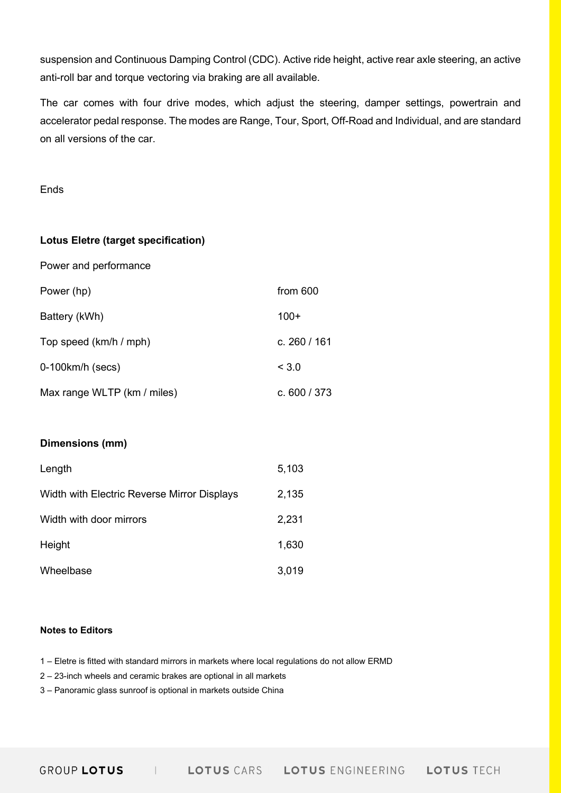suspension and Continuous Damping Control (CDC). Active ride height, active rear axle steering, an active anti-roll bar and torque vectoring via braking are all available.

The car comes with four drive modes, which adjust the steering, damper settings, powertrain and accelerator pedal response. The modes are Range, Tour, Sport, Off-Road and Individual, and are standard on all versions of the car.

Ends

### Lotus Eletre (target specification)

Power and performance

| Power (hp)                  | from 600       |
|-----------------------------|----------------|
| Battery (kWh)               | $100+$         |
| Top speed (km/h / mph)      | c. 260 / 161   |
| $0-100$ km/h $(secs)$       | < 3.0          |
| Max range WLTP (km / miles) | c. $600 / 373$ |

# Dimensions (mm)

| Length                                      | 5,103 |
|---------------------------------------------|-------|
| Width with Electric Reverse Mirror Displays | 2,135 |
| Width with door mirrors                     | 2,231 |
| Height                                      | 1,630 |
| Wheelbase                                   | 3,019 |

#### Notes to Editors

1 – Eletre is fitted with standard mirrors in markets where local regulations do not allow ERMD

- 2 23-inch wheels and ceramic brakes are optional in all markets
- 3 Panoramic glass sunroof is optional in markets outside China